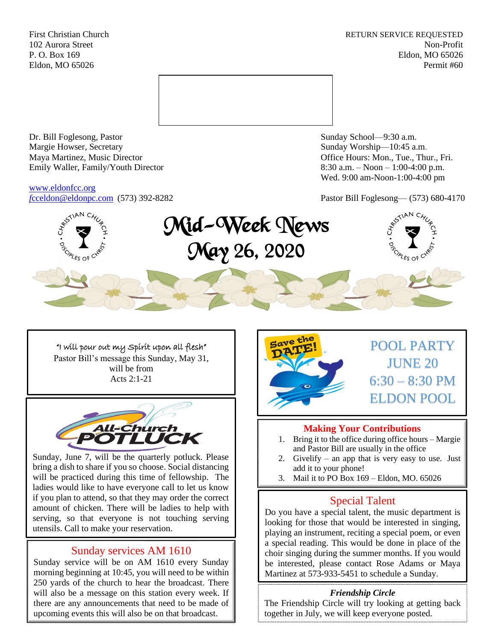First Christian Church **RETURN SERVICE REQUESTED** 102 Aurora Street Non-Profit P. O. Box 169 Eldon, MO 65026 Eldon, MO 65026 Permit #60



Dr. Bill Foglesong, Pastor Sunday School—9:30 a.m.<br>
Margie Howser, Secretary Sunday Worship—10:45 a. Maya Martinez, Music Director Office Hours: Mon., Tue., Thur., Fri. Emily Waller, Family/Youth Director 8:30 a.m. – Noon – 1:00-4:00 p.m.

[www.eldonfcc.org](http://www.eldonfcc.org/)

Sunday Worship—10:45 a.m. Wed. 9:00 am-Noon-1:00-4:00 pm

*f*[cceldon@eldonpc.com](mailto:fcceldon@eldonpc.com) (573) 392-8282 Pastor Bill Foglesong— (573) 680-4170



Mid-Week News May 26, 2020



"I will pour out my Spirit upon all flesh" Pastor Bill's message this Sunday, May 31, will be from Acts 2:1-21



Sunday, June 7, will be the quarterly potluck. Please bring a dish to share if you so choose. Social distancing will be practiced during this time of fellowship. The ladies would like to have everyone call to let us know if you plan to attend, so that they may order the correct amount of chicken. There will be ladies to help with serving, so that everyone is not touching serving utensils. Call to make your reservation.

# Sunday services AM 1610

Sunday service will be on AM 1610 every Sunday morning beginning at 10:45, you will need to be within 250 yards of the church to hear the broadcast. There will also be a message on this station every week. If there are any announcements that need to be made of upcoming events this will also be on that broadcast.



# **Making Your Contributions**

- 1. Bring it to the office during office hours Margie and Pastor Bill are usually in the office
- 2. Givelify an app that is very easy to use. Just add it to your phone!
- 3. Mail it to PO Box 169 Eldon, MO. 65026

# Special Talent

Do you have a special talent, the music department is looking for those that would be interested in singing, playing an instrument, reciting a special poem, or even a special reading. This would be done in place of the choir singing during the summer months. If you would be interested, please contact Rose Adams or Maya Martinez at 573-933-5451 to schedule a Sunday.

## *Friendship Circle*

The Friendship Circle will try looking at getting back together in July, we will keep everyone posted.